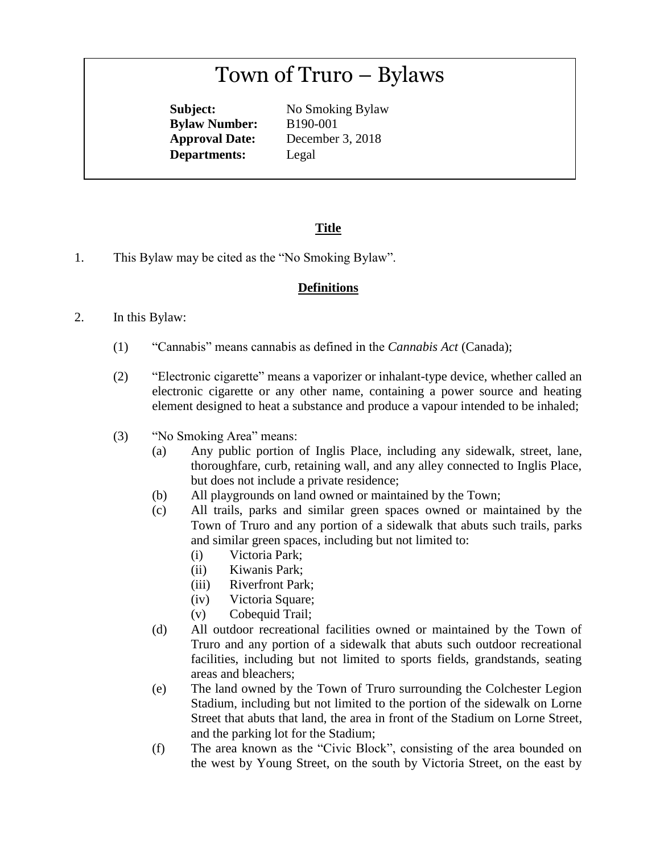# Town of Truro – Bylaws

**Subject:** No Smoking Bylaw **Bylaw Number:** B190-001 **Approval Date:** December 3, 2018 **Departments:** Legal

# **Title**

1. This Bylaw may be cited as the "No Smoking Bylaw".

### **Definitions**

#### 2. In this Bylaw:

- (1) "Cannabis" means cannabis as defined in the *Cannabis Act* (Canada);
- (2) "Electronic cigarette" means a vaporizer or inhalant-type device, whether called an electronic cigarette or any other name, containing a power source and heating element designed to heat a substance and produce a vapour intended to be inhaled;
- (3) "No Smoking Area" means:
	- (a) Any public portion of Inglis Place, including any sidewalk, street, lane, thoroughfare, curb, retaining wall, and any alley connected to Inglis Place, but does not include a private residence;
	- (b) All playgrounds on land owned or maintained by the Town;
	- (c) All trails, parks and similar green spaces owned or maintained by the Town of Truro and any portion of a sidewalk that abuts such trails, parks and similar green spaces, including but not limited to:
		- (i) Victoria Park;
		- (ii) Kiwanis Park;
		- (iii) Riverfront Park;
		- (iv) Victoria Square;
		- (v) Cobequid Trail;
	- (d) All outdoor recreational facilities owned or maintained by the Town of Truro and any portion of a sidewalk that abuts such outdoor recreational facilities, including but not limited to sports fields, grandstands, seating areas and bleachers;
	- (e) The land owned by the Town of Truro surrounding the Colchester Legion Stadium, including but not limited to the portion of the sidewalk on Lorne Street that abuts that land, the area in front of the Stadium on Lorne Street, and the parking lot for the Stadium;
	- (f) The area known as the "Civic Block", consisting of the area bounded on the west by Young Street, on the south by Victoria Street, on the east by